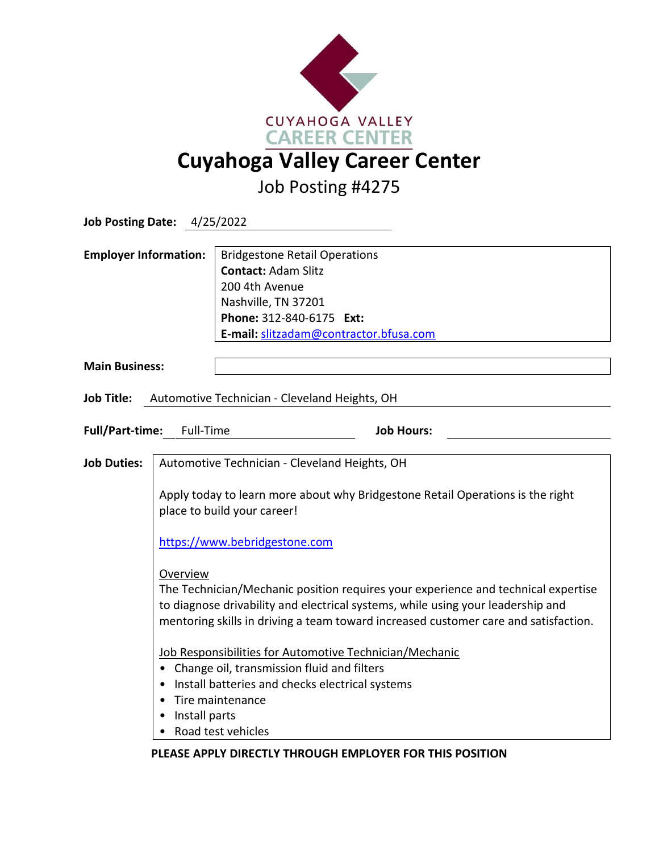

Job Posting #4275

| <b>Job Posting Date: 4/25/2022</b>                       |                                                                                                                                                                |                                                                                                                                                                                                                                                                                                                        |  |
|----------------------------------------------------------|----------------------------------------------------------------------------------------------------------------------------------------------------------------|------------------------------------------------------------------------------------------------------------------------------------------------------------------------------------------------------------------------------------------------------------------------------------------------------------------------|--|
| <b>Employer Information:</b>                             |                                                                                                                                                                | <b>Bridgestone Retail Operations</b><br><b>Contact: Adam Slitz</b><br>200 4th Avenue<br>Nashville, TN 37201<br>Phone: 312-840-6175 Ext:<br>E-mail: slitzadam@contractor.bfusa.com                                                                                                                                      |  |
| <b>Main Business:</b>                                    |                                                                                                                                                                |                                                                                                                                                                                                                                                                                                                        |  |
| Job Title: Automotive Technician - Cleveland Heights, OH |                                                                                                                                                                |                                                                                                                                                                                                                                                                                                                        |  |
| <b>Full/Part-time:</b><br>Full-Time<br><b>Job Hours:</b> |                                                                                                                                                                |                                                                                                                                                                                                                                                                                                                        |  |
| <b>Job Duties:</b>                                       | Automotive Technician - Cleveland Heights, OH<br>Apply today to learn more about why Bridgestone Retail Operations is the right<br>place to build your career! |                                                                                                                                                                                                                                                                                                                        |  |
|                                                          |                                                                                                                                                                |                                                                                                                                                                                                                                                                                                                        |  |
|                                                          | https://www.bebridgestone.com                                                                                                                                  |                                                                                                                                                                                                                                                                                                                        |  |
|                                                          | Overview                                                                                                                                                       | The Technician/Mechanic position requires your experience and technical expertise<br>to diagnose drivability and electrical systems, while using your leadership and<br>mentoring skills in driving a team toward increased customer care and satisfaction.<br>Job Responsibilities for Automotive Technician/Mechanic |  |
|                                                          |                                                                                                                                                                | • Change oil, transmission fluid and filters                                                                                                                                                                                                                                                                           |  |
|                                                          |                                                                                                                                                                | Install batteries and checks electrical systems<br>Tire maintenance                                                                                                                                                                                                                                                    |  |
|                                                          | Install parts                                                                                                                                                  |                                                                                                                                                                                                                                                                                                                        |  |
|                                                          |                                                                                                                                                                | Road test vehicles                                                                                                                                                                                                                                                                                                     |  |

**PLEASE APPLY DIRECTLY THROUGH EMPLOYER FOR THIS POSITION**